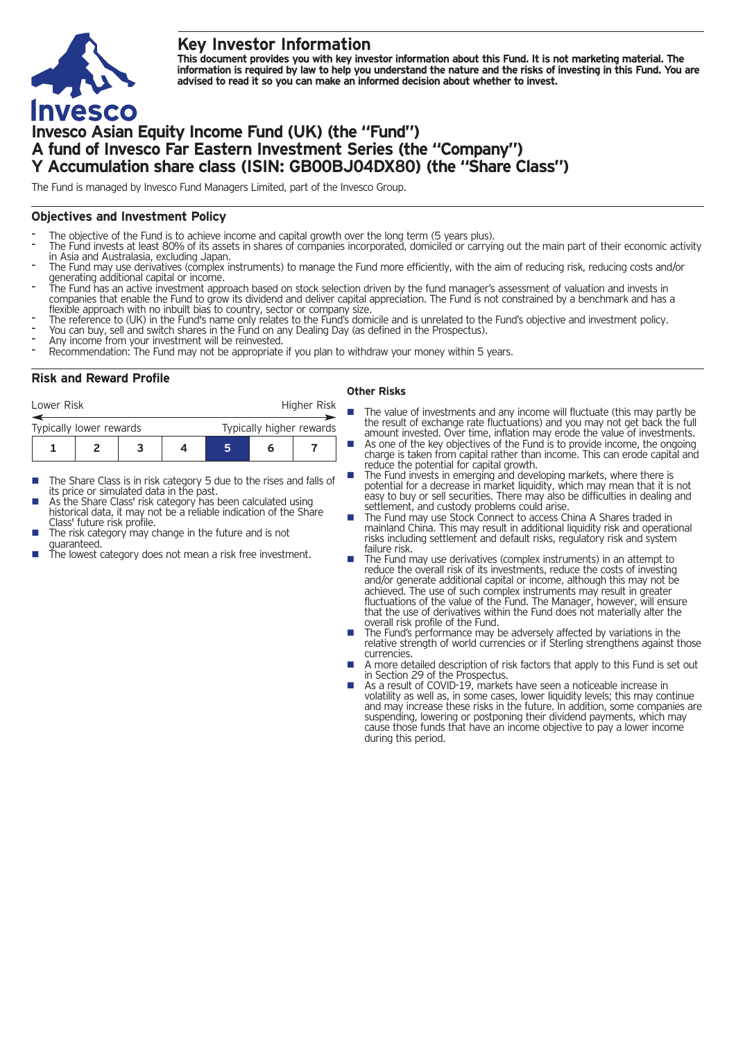## **Key Investor Information**



This document provides you with key investor information about this Fund. It is not marketing material. The information is required by law to help you understand the nature and the risks of investing in this Fund. You are **advised to read it so you can make an informed decision about whether to invest.**

# **Invesco Asian Equity Income Fund (UK) (the "Fund") A fund of Invesco Far Eastern Investment Series (the "Company") Y Accumulation share class (ISIN: GB00BJ04DX80) (the "Share Class")**

The Fund is managed by Invesco Fund Managers Limited, part of the Invesco Group.

## **Objectives and Investment Policy**

- 
- The objective of the Fund is to achieve income and capital growth over the long term (5 years plus).<br>The Fund invests at least 80% of its assets in shares of companies incorporated, domiciled or carrying out the main part
- The Fund may use derivatives (complex instruments) to manage the Fund more efficiently, with the aim of reducing risk, reducing costs and/or generating additional capital or income.
- The Fund has an active investment approach based on stock selection driven by the fund manager's assessment of valuation and invests in companies that enable the Fund to grow its dividend and deliver capital appreciation. The Fund is not constrained by a benchmark and has a flexible approach with no inbuilt bias to country, sector or company size.<br>The refe
- 
- 
- 
- You can buy, sell and switch shares in the Fund on any Dealing Day (as defined in the Prospectus).<br>Any income from your investment will be reinvested.<br>Recommendation: The Fund may not be appropriate if you plan to withdraw

## **Risk and Reward Profile**

| Lower Risk              |  |  |  | Higher Risk              |  |  |  |
|-------------------------|--|--|--|--------------------------|--|--|--|
| Typically lower rewards |  |  |  | Typically higher rewards |  |  |  |
|                         |  |  |  | 5                        |  |  |  |

- The Share Class is in risk category 5 due to the rises and falls of its price or simulated data in the past.
- As the Share Class' risk category has been calculated using historical data, it may not be a reliable indication of the Share<br>Class' future risk profile.
- The risk category may change in the future and is not
- guaranteed.  $\frac{1}{\pi}$  is the lowest category does not mean a risk free investment.

#### **Other Risks**

- **n** The value of investments and any income will fluctuate (this may partly be the result of exchange rate fluctuations) and you may not get back the full
	- amount invested. Over time, inflation may erode the value of investments. As one of the key objectives of the Fund is to provide income, the ongoing charge is taken from capital rather than income. This can erode capital and reduce the potential for capital growth.
- The Fund invests in emerging and developing markets, where there is potential for a decrease in market liquidity, which may mean that it is not easy to buy or sell securities. There may also be difficulties in dealing and example of the settlement, and custody problems could arise.<br>The Fund may use Stock Connect to access China A Shares traded in
- mainland China. This may result in additional liquidity risk and operational risks including settlement and default risks, regulatory risk and system
- failure risk.<br> **n** The Fund may use derivatives (complex instruments) in an attempt to reduce the overall risk of its investments, reduce the costs of investing and/or generate additional capital or income, although this may not be achieved. The use of such complex instruments may result in greater fluctuations of the value of the Fund. The Manager, however, will ensure that the use of derivatives within the Fund does not materially alter the
- overall risk profile of the Fund.<br>■ The Fund's performance may be adversely affected by variations in the relative strength of world currencies or if Sterling strengthens against those
- currencies.<br>
A more detailed description of risk factors that apply to this Fund is set out<br>
in Section 29 of the Prospectus.
- As a result of COVID-19, markets have seen a noticeable increase in volatility as well as, in some cases, lower liquidity levels; this may continue and may increase these risks in the future. In addition, some companies are suspending, lowering or postponing their dividend payments, which may cause those funds that have an income objective to pay a lower income during this period.